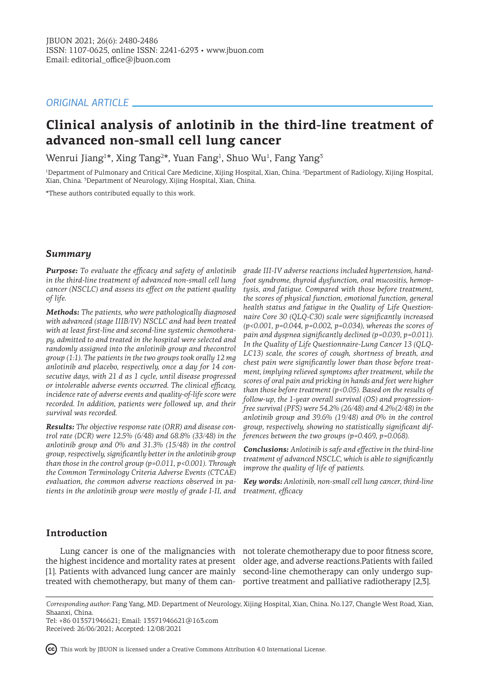# *ORIGINAL ARTICLE*

# **Clinical analysis of anlotinib in the third-line treatment of advanced non-small cell lung cancer**

Wenrui Jiang<sup>1\*</sup>, Xing Tang<sup>2\*</sup>, Yuan Fang<sup>1</sup>, Shuo Wu<sup>1</sup>, Fang Yang<sup>3</sup>

1 Department of Pulmonary and Critical Care Medicine, Xijing Hospital, Xian, China. <sup>2</sup> Department of Radiology, Xijing Hospital, Xian, China. <sup>3</sup> Department of Neurology, Xijing Hospital, Xian, China.

\*These authors contributed equally to this work.

## *Summary*

*Purpose: To evaluate the efficacy and safety of anlotinib in the third-line treatment of advanced non-small cell lung cancer (NSCLC) and assess its effect on the patient quality of life.* 

*Methods: The patients, who were pathologically diagnosed with advanced (stage IIIB/IV) NSCLC and had been treated with at least first-line and second-line systemic chemotherapy, admitted to and treated in the hospital were selected and randomly assigned into the anlotinib group and thecontrol group (1:1). The patients in the two groups took orally 12 mg anlotinib and placebo, respectively, once a day for 14 consecutive days, with 21 d as 1 cycle, until disease progressed or intolerable adverse events occurred. The clinical efficacy, incidence rate of adverse events and quality-of-life score were recorded. In addition, patients were followed up, and their survival was recorded.*

*Results: The objective response rate (ORR) and disease control rate (DCR) were 12.5% (6/48) and 68.8% (33/48) in the anlotinib group and 0% and 31.3% (15/48) in the control group, respectively, significantly better in the anlotinib group than those in the control group (p=0.011, p<0.001). Through the Common Terminology Criteria Adverse Events (CTCAE) evaluation, the common adverse reactions observed in patients in the anlotinib group were mostly of grade I-II, and* 

*grade III-IV adverse reactions included hypertension, handfoot syndrome, thyroid dysfunction, oral mucositis, hemoptysis, and fatigue. Compared with those before treatment, the scores of physical function, emotional function, general health status and fatigue in the Quality of Life Questionnaire Core 30 (QLQ-C30) scale were significantly increased (p<0.001, p=0.044, p=0.002, p=0.034), whereas the scores of pain and dyspnea significantly declined (p=0.039, p=0.011). In the Quality of Life Questionnaire-Lung Cancer 13 (QLQ-LC13) scale, the scores of cough, shortness of breath, and chest pain were significantly lower than those before treatment, implying relieved symptoms after treatment, while the scores of oral pain and pricking in hands and feet were higher than those before treatment (p<0.05). Based on the results of follow-up, the 1-year overall survival (OS) and progressionfree survival (PFS) were 54.2% (26/48) and 4.2%(2/48) in the anlotinib group and 39.6% (19/48) and 0% in the control group, respectively, showing no statistically significant differences between the two groups (p=0.469, p=0.068).*

*Conclusions: Anlotinib is safe and effective in the third-line treatment of advanced NSCLC, which is able to significantly improve the quality of life of patients.*

*Key words: Anlotinib, non-small cell lung cancer, third-line treatment, efficacy*

## **Introduction**

[1]. Patients with advanced lung cancer are mainly second-line chemotherapy can only undergo sup-

Lung cancer is one of the malignancies with not tolerate chemotherapy due to poor fitness score, the highest incidence and mortality rates at present older age, and adverse reactions.Patients with failed treated with chemotherapy, but many of them can-portive treatment and palliative radiotherapy [2,3].

*Corresponding author:* Fang Yang, MD. Department of Neurology, Xijing Hospital, Xian, China. No.127, Changle West Road, Xian, Shaanxi, China.

Tel: +86 013571946621; Email: 13571946621@163.com Received: 26/06/2021; Accepted: 12/08/2021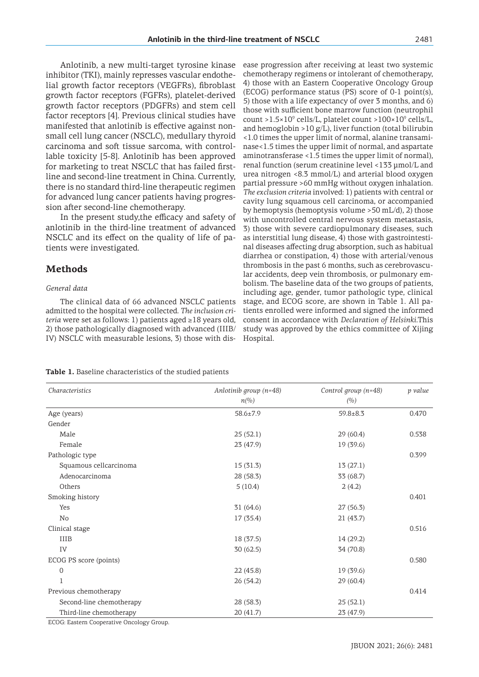Anlotinib, a new multi-target tyrosine kinase inhibitor (TKI), mainly represses vascular endothelial growth factor receptors (VEGFRs), fibroblast growth factor receptors (FGFRs), platelet-derived growth factor receptors (PDGFRs) and stem cell factor receptors [4]. Previous clinical studies have manifested that anlotinib is effective against nonsmall cell lung cancer (NSCLC), medullary thyroid carcinoma and soft tissue sarcoma, with controllable toxicity [5-8]. Anlotinib has been approved for marketing to treat NSCLC that has failed firstline and second-line treatment in China. Currently, there is no standard third-line therapeutic regimen for advanced lung cancer patients having progression after second-line chemotherapy.

In the present study,the efficacy and safety of anlotinib in the third-line treatment of advanced NSCLC and its effect on the quality of life of patients were investigated.

## **Methods**

#### *General data*

The clinical data of 66 advanced NSCLC patients admitted to the hospital were collected. *The inclusion criteria* were set as follows: 1) patients aged ≥18 years old, 2) those pathologically diagnosed with advanced (IIIB/ IV) NSCLC with measurable lesions, 3) those with dis-

ease progression after receiving at least two systemic chemotherapy regimens or intolerant of chemotherapy, 4) those with an Eastern Cooperative Oncology Group (ECOG) performance status (PS) score of 0-1 point(s), 5) those with a life expectancy of over 3 months, and 6) those with sufficient bone marrow function (neutrophil count > $1.5 \times 10^9$  cells/L, platelet count > $100 \times 10^9$  cells/L, and hemoglobin  $>10$  g/L), liver function (total bilirubin <1.0 times the upper limit of normal, alanine transaminase<1.5 times the upper limit of normal, and aspartate aminotransferase <1.5 times the upper limit of normal), renal function (serum creatinine level <133 µmol/L and urea nitrogen <8.3 mmol/L) and arterial blood oxygen partial pressure >60 mmHg without oxygen inhalation. *The exclusion criteria* involved: 1) patients with central or cavity lung squamous cell carcinoma, or accompanied by hemoptysis (hemoptysis volume >50 mL/d), 2) those with uncontrolled central nervous system metastasis, 3) those with severe cardiopulmonary diseases, such as interstitial lung disease, 4) those with gastrointestinal diseases affecting drug absorption, such as habitual diarrhea or constipation, 4) those with arterial/venous thrombosis in the past 6 months, such as cerebrovascular accidents, deep vein thrombosis, or pulmonary embolism. The baseline data of the two groups of patients, including age, gender, tumor pathologic type, clinical stage, and ECOG score, are shown in Table 1. All patients enrolled were informed and signed the informed consent in accordance with *Declaration of Helsinki*.This study was approved by the ethics committee of Xijing Hospital.

**Table 1.** Baseline characteristics of the studied patients

| Characteristics                           | Anlotinib group $(n=48)$ | Control group $(n=48)$ | p value |
|-------------------------------------------|--------------------------|------------------------|---------|
|                                           | $n\llap/00$              | (%)                    |         |
| Age (years)                               | $58.6 \pm 7.9$           | $59.8 \pm 8.3$         | 0.470   |
| Gender                                    |                          |                        |         |
| Male                                      | 25(52.1)                 | 29(60.4)               | 0.538   |
| Female                                    | 23 (47.9)                | 19(39.6)               |         |
| Pathologic type                           |                          |                        | 0.399   |
| Squamous cellcarcinoma                    | 15(31.3)                 | 13(27.1)               |         |
| Adenocarcinoma                            | 28 (58.3)                | 33 (68.7)              |         |
| Others                                    | 5(10.4)                  | 2(4.2)                 |         |
| Smoking history                           |                          |                        | 0.401   |
| Yes                                       | 31(64.6)                 | 27(56.3)               |         |
| No                                        | 17 (35.4)                | 21(43.7)               |         |
| Clinical stage                            |                          |                        | 0.516   |
| <b>IIIB</b>                               | 18 (37.5)                | 14 (29.2)              |         |
| IV                                        | 30(62.5)                 | 34 (70.8)              |         |
| ECOG PS score (points)                    |                          |                        | 0.580   |
| $\overline{0}$                            | 22(45.8)                 | 19 (39.6)              |         |
|                                           | 26 (54.2)                | 29(60.4)               |         |
| Previous chemotherapy                     |                          |                        | 0.414   |
| Second-line chemotherapy                  | 28 (58.3)                | 25(52.1)               |         |
| Third-line chemotherapy                   | 20 (41.7)                | 23 (47.9)              |         |
| ECOG: Eastern Cooperative Oncology Group. |                          |                        |         |

ECOG: Eastern Cooperative Oncology Group.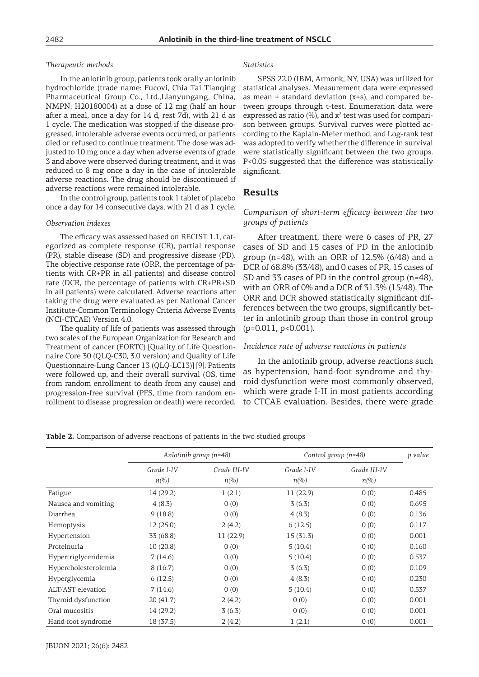#### *Therapeutic methods*

In the anlotinib group, patients took orally anlotinib hydrochloride (trade name: Fucovi, Chia Tai Tianqing Pharmaceutical Group Co., Ltd.,Lianyungang, China, NMPN: H20180004) at a dose of 12 mg (half an hour after a meal, once a day for 14 d, rest 7d), with 21 d as 1 cycle. The medication was stopped if the disease progressed, intolerable adverse events occurred, or patients died or refused to continue treatment. The dose was adjusted to 10 mg once a day when adverse events of grade 3 and above were observed during treatment, and it was reduced to 8 mg once a day in the case of intolerable adverse reactions. The drug should be discontinued if adverse reactions were remained intolerable.

In the control group, patients took 1 tablet of placebo once a day for 14 consecutive days, with 21 d as 1 cycle.

#### *Observation indexes*

The efficacy was assessed based on RECIST 1.1, categorized as complete response (CR), partial response (PR), stable disease (SD) and progressive disease (PD). The objective response rate (ORR, the percentage of patients with CR+PR in all patients) and disease control rate (DCR, the percentage of patients with CR+PR+SD in all patients) were calculated. Adverse reactions after taking the drug were evaluated as per National Cancer Institute-Common Terminology Criteria Adverse Events (NCI-CTCAE) Version 4.0.

The quality of life of patients was assessed through two scales of the European Organization for Research and Treatment of cancer (EORTC) [Quality of Life Questionnaire Core 30 (QLQ-C30, 3.0 version) and Quality of Life Questionnaire-Lung Cancer 13 (QLQ-LC13)] [9]. Patients were followed up, and their overall survival (OS, time from random enrollment to death from any cause) and progression-free survival (PFS, time from random enrollment to disease progression or death) were recorded.

#### *Statistics*

SPSS 22.0 (IBM, Armonk, NY, USA) was utilized for statistical analyses. Measurement data were expressed as mean ± standard deviation (χ±s), and compared between groups through t-test. Enumeration data were expressed as ratio (%), and  $x^2$  test was used for comparison between groups. Survival curves were plotted according to the Kaplain-Meier method, and Log-rank test was adopted to verify whether the difference in survival were statistically significant between the two groups. P<0.05 suggested that the difference was statistically significant.

## **Results**

## *Comparison of short-term efficacy between the two groups of patients*

After treatment, there were 6 cases of PR, 27 cases of SD and 15 cases of PD in the anlotinib group (n=48), with an ORR of  $12.5\%$  (6/48) and a DCR of 68.8% (33/48), and 0 cases of PR, 15 cases of SD and 33 cases of PD in the control group (n=48), with an ORR of 0% and a DCR of 31.3% (15/48). The ORR and DCR showed statistically significant differences between the two groups, significantly better in anlotinib group than those in control group (p=0.011, p<0.001).

#### *Incidence rate of adverse reactions in patients*

In the anlotinib group, adverse reactions such as hypertension, hand-foot syndrome and thyroid dysfunction were most commonly observed, which were grade I-II in most patients according to CTCAE evaluation. Besides, there were grade

#### **Table 2.** Comparison of adverse reactions of patients in the two studied groups

|                      | Anlotinib group $(n=48)$ |                     | Control group $(n=48)$   |                     | p value |
|----------------------|--------------------------|---------------------|--------------------------|---------------------|---------|
|                      | Grade I-IV               | Grade III-IV        | Grade I-IV               | Grade III-IV        |         |
|                      | $n\llap{$\otimes$}$      | $n\llap{$\otimes$}$ | $n\llap{$\binom{0}{0}$}$ | $n\llap{$\otimes$}$ |         |
| Fatigue              | 14(29.2)                 | 1(2.1)              | 11(22.9)                 | 0(0)                | 0.485   |
| Nausea and vomiting  | 4(8.3)                   | 0(0)                | 3(6.3)                   | 0(0)                | 0.695   |
| Diarrhea             | 9(18.8)                  | 0(0)                | 4(8.3)                   | 0(0)                | 0.136   |
| Hemoptysis           | 12(25.0)                 | 2(4.2)              | 6(12.5)                  | 0(0)                | 0.117   |
| Hypertension         | 33 (68.8)                | 11(22.9)            | 15 (31.3)                | 0(0)                | 0.001   |
| Proteinuria          | 10(20.8)                 | 0(0)                | 5(10.4)                  | 0(0)                | 0.160   |
| Hypertriglyceridemia | 7(14.6)                  | 0(0)                | 5(10.4)                  | 0(0)                | 0.537   |
| Hypercholesterolemia | 8(16.7)                  | 0(0)                | 3(6.3)                   | 0(0)                | 0.109   |
| Hyperglycemia        | 6(12.5)                  | 0(0)                | 4(8.3)                   | 0(0)                | 0.230   |
| ALT/AST elevation    | 7(14.6)                  | 0(0)                | 5(10.4)                  | 0(0)                | 0.537   |
| Thyroid dysfunction  | 20(41.7)                 | 2(4.2)              | 0(0)                     | 0(0)                | 0.001   |
| Oral mucositis       | 14 (29.2)                | 3(6.3)              | 0(0)                     | 0(0)                | 0.001   |
| Hand-foot syndrome   | 18 (37.5)                | 2(4.2)              | 1(2.1)                   | 0(0)                | 0.001   |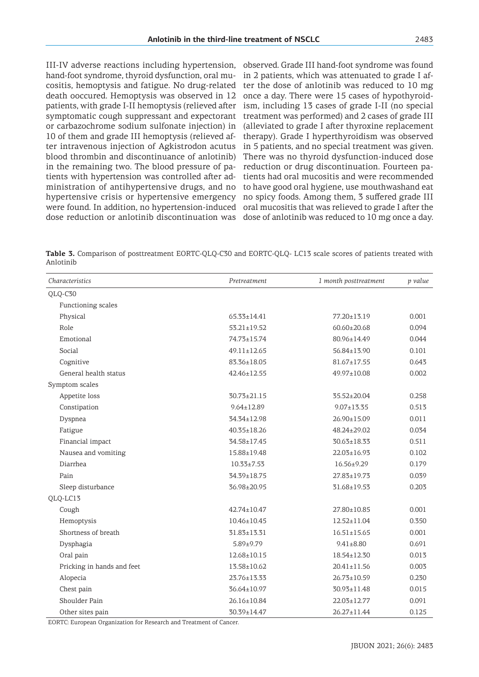III-IV adverse reactions including hypertension, hand-foot syndrome, thyroid dysfunction, oral mucositis, hemoptysis and fatigue. No drug-related death ooccured. Hemoptysis was observed in 12 patients, with grade I-II hemoptysis (relieved after symptomatic cough suppressant and expectorant or carbazochrome sodium sulfonate injection) in 10 of them and grade III hemoptysis (relieved after intravenous injection of Agkistrodon acutus blood thrombin and discontinuance of anlotinib) in the remaining two. The blood pressure of patients with hypertension was controlled after administration of antihypertensive drugs, and no hypertensive crisis or hypertensive emergency were found. In addition, no hypertension-induced dose reduction or anlotinib discontinuation was dose of anlotinib was reduced to 10 mg once a day.

observed. Grade III hand-foot syndrome was found in 2 patients, which was attenuated to grade I after the dose of anlotinib was reduced to 10 mg once a day. There were 15 cases of hypothyroidism, including 13 cases of grade I-II (no special treatment was performed) and 2 cases of grade III (alleviated to grade I after thyroxine replacement therapy). Grade I hyperthyroidism was observed in 5 patients, and no special treatment was given. There was no thyroid dysfunction-induced dose reduction or drug discontinuation. Fourteen patients had oral mucositis and were recommended to have good oral hygiene, use mouthwashand eat no spicy foods. Among them, 3 suffered grade III oral mucositis that was relieved to grade I after the

**Table 3.** Comparison of posttreatment EORTC-QLQ-C30 and EORTC-QLQ- LC13 scale scores of patients treated with Anlotinib

| Characteristics            | Pretreatment      | 1 month posttreatment | p value |
|----------------------------|-------------------|-----------------------|---------|
| QLQ-C30                    |                   |                       |         |
| Functioning scales         |                   |                       |         |
| Physical                   | $65.33 \pm 14.41$ | 77.20±13.19           | 0.001   |
| Role                       | $53.21 \pm 19.52$ | $60.60 \pm 20.68$     | 0.094   |
| Emotional                  | 74.73±15.74       | 80.96±14.49           | 0.044   |
| Social                     | $49.11 \pm 12.65$ | $56.84 \pm 13.90$     | 0.101   |
| Cognitive                  | 83.36±18.05       | $81.67 \pm 17.55$     | 0.643   |
| General health status      | 42.46±12.55       | 49.97±10.08           | 0.002   |
| Symptom scales             |                   |                       |         |
| Appetite loss              | 30.73±21.15       | 35.52±20.04           | 0.258   |
| Constipation               | $9.64 \pm 12.89$  | $9.07 \pm 13.35$      | 0.513   |
| Dyspnea                    | 34.34±12.98       | 26.90±15.09           | 0.011   |
| Fatigue                    | $40.35 \pm 18.26$ | 48.24±29.02           | 0.034   |
| Financial impact           | 34.58±17.45       | 30.63±18.33           | 0.511   |
| Nausea and vomiting        | 15.88±19.48       | 22.03±16.93           | 0.102   |
| Diarrhea                   | $10.33 \pm 7.53$  | $16.56 \pm 9.29$      | 0.179   |
| Pain                       | 34.39±18.75       | 27.83±19.73           | 0.039   |
| Sleep disturbance          | 36.98±20.95       | 31.68±19.53           | 0.203   |
| QLQ-LC13                   |                   |                       |         |
| Cough                      | 42.74±10.47       | 27.80±10.85           | 0.001   |
| Hemoptysis                 | $10.46 \pm 10.45$ | $12.52 \pm 11.04$     | 0.350   |
| Shortness of breath        | 31.83±13.31       | $16.51 \pm 15.65$     | 0.001   |
| Dysphagia                  | $5.89 \pm 9.79$   | $9.41 \pm 8.80$       | 0.691   |
| Oral pain                  | 12.68±10.15       | 18.54±12.30           | 0.013   |
| Pricking in hands and feet | 13.58±10.62       | $20.41 \pm 11.56$     | 0.003   |
| Alopecia                   | 23.76±13.33       | 26.73±10.59           | 0.230   |
| Chest pain                 | 36.64±10.97       | 30.93±11.48           | 0.015   |
| Shoulder Pain              | 26.16±10.84       | 22.03±12.77           | 0.091   |
| Other sites pain           | 30.39±14.47       | 26.27±11.44           | 0.125   |

EORTC: European Organization for Research and Treatment of Cancer.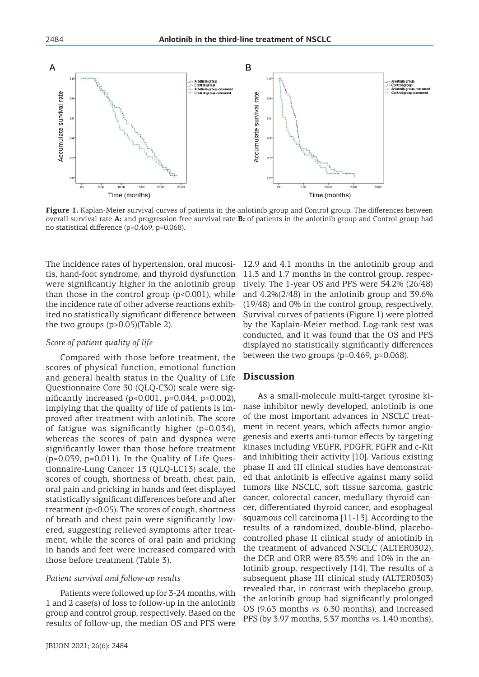

**Figure 1.** Kaplan-Meier survival curves of patients in the anlotinib group and Control group. The differences between overall survival rate **A:** and progression free survival rate **B:** of patients in the anlotinib group and Control group had no statistical difference (p=0.469, p=0.068).

The incidence rates of hypertension, oral mucositis, hand-foot syndrome, and thyroid dysfunction were significantly higher in the anlotinib group than those in the control group  $(p<0.001)$ , while the incidence rate of other adverse reactions exhibited no statistically significant difference between the two groups (p>0.05)(Table 2).

#### *Score of patient quality of life*

Compared with those before treatment, the scores of physical function, emotional function and general health status in the Quality of Life Questionnaire Core 30 (QLQ-C30) scale were significantly increased (p<0.001, p=0.044, p=0.002), implying that the quality of life of patients is improved after treatment with anlotinib. The score of fatigue was significantly higher (p=0.034), whereas the scores of pain and dyspnea were significantly lower than those before treatment  $(p=0.039, p=0.011)$ . In the Quality of Life Questionnaire-Lung Cancer 13 (QLQ-LC13) scale, the scores of cough, shortness of breath, chest pain, oral pain and pricking in hands and feet displayed statistically significant differences before and after treatment (p<0.05). The scores of cough, shortness of breath and chest pain were significantly lowered, suggesting relieved symptoms after treatment, while the scores of oral pain and pricking in hands and feet were increased compared with those before treatment (Table 3).

#### *Patient survival and follow-up results*

Patients were followed up for 3-24 months, with 1 and 2 case(s) of loss to follow-up in the anlotinib group and control group, respectively. Based on the results of follow-up, the median OS and PFS were

12.9 and 4.1 months in the anlotinib group and 11.3 and 1.7 months in the control group, respectively. The 1-year OS and PFS were 54.2% (26/48) and 4.2%(2/48) in the anlotinib group and 39.6% (19/48) and 0% in the control group, respectively. Survival curves of patients (Figure 1) were plotted by the Kaplain-Meier method. Log-rank test was conducted, and it was found that the OS and PFS displayed no statistically significantly differences between the two groups (p=0.469, p=0.068).

## **Discussion**

As a small-molecule multi-target tyrosine kinase inhibitor newly developed, anlotinib is one of the most important advances in NSCLC treatment in recent years, which affects tumor angiogenesis and exerts anti-tumor effects by targeting kinases including VEGFR, PDGFR, FGFR and c-Kit and inhibiting their activity [10]. Various existing phase II and III clinical studies have demonstrated that anlotinib is effective against many solid tumors like NSCLC, soft tissue sarcoma, gastric cancer, colorectal cancer, medullary thyroid cancer, differentiated thyroid cancer, and esophageal squamous cell carcinoma [11-13]. According to the results of a randomized, double-blind, placebocontrolled phase II clinical study of anlotinib in the treatment of advanced NSCLC (ALTER0302), the DCR and ORR were 83.3% and 10% in the anlotinib group, respectively [14]. The results of a subsequent phase III clinical study (ALTER0303) revealed that, in contrast with theplacebo group, the anlotinib group had significantly prolonged OS (9.63 months *vs.* 6.30 months), and increased PFS (by 3.97 months, 5.37 months *vs.* 1.40 months),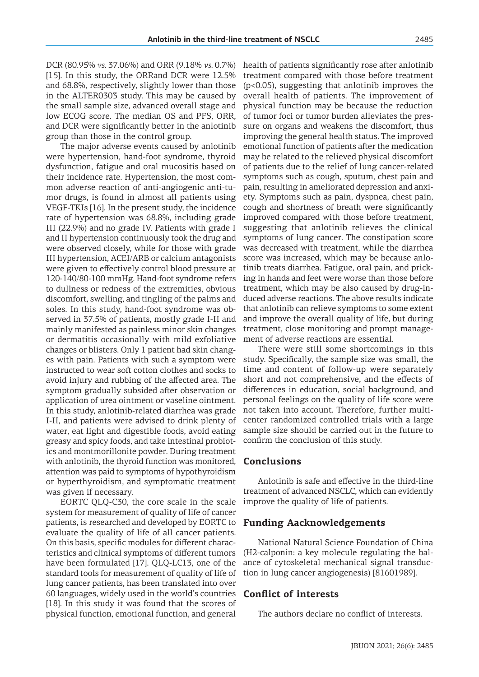DCR (80.95% *vs.* 37.06%) and ORR (9.18% *vs.* 0.7%) [15]. In this study, the ORRand DCR were 12.5% and 68.8%, respectively, slightly lower than those in the ALTER0303 study. This may be caused by the small sample size, advanced overall stage and low ECOG score. The median OS and PFS, ORR, and DCR were significantly better in the anlotinib group than those in the control group.

The major adverse events caused by anlotinib were hypertension, hand-foot syndrome, thyroid dysfunction, fatigue and oral mucositis based on their incidence rate. Hypertension, the most common adverse reaction of anti-angiogenic anti-tumor drugs, is found in almost all patients using VEGF-TKIs [16]. In the present study, the incidence rate of hypertension was 68.8%, including grade III (22.9%) and no grade IV. Patients with grade I and II hypertension continuously took the drug and were observed closely, while for those with grade III hypertension, ACEI/ARB or calcium antagonists were given to effectively control blood pressure at 120-140/80-100 mmHg. Hand-foot syndrome refers to dullness or redness of the extremities, obvious discomfort, swelling, and tingling of the palms and soles. In this study, hand-foot syndrome was observed in 37.5% of patients, mostly grade I-II and mainly manifested as painless minor skin changes or dermatitis occasionally with mild exfoliative changes or blisters. Only 1 patient had skin changes with pain. Patients with such a symptom were instructed to wear soft cotton clothes and socks to avoid injury and rubbing of the affected area. The symptom gradually subsided after observation or application of urea ointment or vaseline ointment. In this study, anlotinib-related diarrhea was grade I-II, and patients were advised to drink plenty of water, eat light and digestible foods, avoid eating greasy and spicy foods, and take intestinal probiotics and montmorillonite powder. During treatment with anlotinib, the thyroid function was monitored, attention was paid to symptoms of hypothyroidism or hyperthyroidism, and symptomatic treatment was given if necessary.

EORTC QLQ-C30, the core scale in the scale system for measurement of quality of life of cancer patients, is researched and developed by EORTC to evaluate the quality of life of all cancer patients. On this basis, specific modules for different characteristics and clinical symptoms of different tumors have been formulated [17]. QLQ-LC13, one of the standard tools for measurement of quality of life of lung cancer patients, has been translated into over 60 languages, widely used in the world's countries [18]. In this study it was found that the scores of physical function, emotional function, and general

health of patients significantly rose after anlotinib treatment compared with those before treatment (p<0.05), suggesting that anlotinib improves the overall health of patients. The improvement of physical function may be because the reduction of tumor foci or tumor burden alleviates the pressure on organs and weakens the discomfort, thus improving the general health status. The improved emotional function of patients after the medication may be related to the relieved physical discomfort of patients due to the relief of lung cancer-related symptoms such as cough, sputum, chest pain and pain, resulting in ameliorated depression and anxiety. Symptoms such as pain, dyspnea, chest pain, cough and shortness of breath were significantly improved compared with those before treatment, suggesting that anlotinib relieves the clinical symptoms of lung cancer. The constipation score was decreased with treatment, while the diarrhea score was increased, which may be because anlotinib treats diarrhea. Fatigue, oral pain, and pricking in hands and feet were worse than those before treatment, which may be also caused by drug-induced adverse reactions. The above results indicate that anlotinib can relieve symptoms to some extent and improve the overall quality of life, but during treatment, close monitoring and prompt management of adverse reactions are essential.

There were still some shortcomings in this study. Specifically, the sample size was small, the time and content of follow-up were separately short and not comprehensive, and the effects of differences in education, social background, and personal feelings on the quality of life score were not taken into account. Therefore, further multicenter randomized controlled trials with a large sample size should be carried out in the future to confirm the conclusion of this study.

## **Conclusions**

Anlotinib is safe and effective in the third-line treatment of advanced NSCLC, which can evidently improve the quality of life of patients.

## **Funding Aacknowledgements**

National Natural Science Foundation of China (H2-calponin: a key molecule regulating the balance of cytoskeletal mechanical signal transduction in lung cancer angiogenesis) [81601989].

## **Conflict of interests**

The authors declare no conflict of interests.